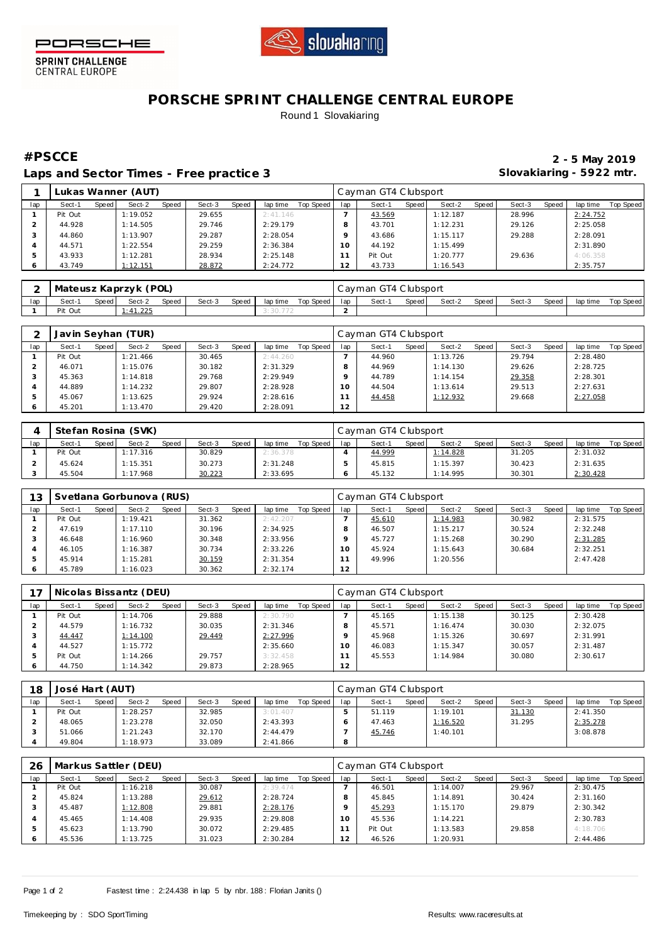



**SPRINT CHALLENGE**<br>CENTRAL EUROPE

## **PORSCHE SPRINT CHALLENGE CENTRAL EUROPE** Round 1 Slovakiaring

Laps and Sector Times - Free practice 3 **Slovakiaring - 5922 mtr.** 

**#PSCCE 2 - 5 May 2019**

|     |         |         | Lukas Wanner (AUT) |       |        |       |          |           |          | Cayman GT4 Clubsport |       |          |       |        |       |          |           |
|-----|---------|---------|--------------------|-------|--------|-------|----------|-----------|----------|----------------------|-------|----------|-------|--------|-------|----------|-----------|
| lap | Sect-1  | Speed I | Sect-2             | Speed | Sect-3 | Speed | lap time | Top Speed | lap      | Sect-1               | Speed | Sect-2   | Speed | Sect-3 | Speed | lap time | Top Speed |
|     | Pit Out |         | 1:19.052           |       | 29.655 |       | 2:41.146 |           |          | 43.569               |       | 1:12.187 |       | 28.996 |       | 2:24.752 |           |
|     | 44.928  |         | 1:14.505           |       | 29.746 |       | 2:29.179 |           |          | 43.701               |       | 1:12.231 |       | 29.126 |       | 2:25.058 |           |
|     | 44.860  |         | 1:13.907           |       | 29.287 |       | 2:28.054 |           |          | 43.686               |       | 1:15.117 |       | 29.288 |       | 2:28.091 |           |
|     | 44.571  |         | 1:22.554           |       | 29.259 |       | 2:36.384 |           | $10^{-}$ | 44.192               |       | 1:15.499 |       |        |       | 2:31.890 |           |
|     | 43.933  |         | 1:12.281           |       | 28.934 |       | 2:25.148 |           |          | Pit Out              |       | 1:20.777 |       | 29.636 |       | 4:06.358 |           |
|     | 43.749  |         | 1:12.151           |       | 28.872 |       | 2:24.772 |           | $\sim$   | 43.733               |       | 1:16.543 |       |        |       | 2:35.757 |           |

|     | Mateusz Kaprzyk (POL) |       |          |       |        |       |          |           |     | Cayman GT4 Clubsport |       |        |       |        |       |          |           |
|-----|-----------------------|-------|----------|-------|--------|-------|----------|-----------|-----|----------------------|-------|--------|-------|--------|-------|----------|-----------|
| lap | Sect-1                | Speed | Sect-2   | Speed | Sect-3 | Speed | lap time | Top Speed | lap | Sect-1               | Speed | Sect-2 | Speed | Sect-3 | Speed | lap time | Top Speed |
|     | Pit Out               |       | : 41.225 |       |        |       | 3:30.772 |           |     |                      |       |        |       |        |       |          |           |

|     |         |       | Javin Seyhan (TUR) |       |        |       |          |           |     | l Cayman GT4 Clubsport |       |          |       |        |       |          |           |
|-----|---------|-------|--------------------|-------|--------|-------|----------|-----------|-----|------------------------|-------|----------|-------|--------|-------|----------|-----------|
| lap | Sect-1  | Speed | Sect-2             | Speed | Sect-3 | Speed | lap time | Top Speed | lap | Sect-1                 | Speed | Sect-2   | Speed | Sect-3 | Speed | lap time | Top Speed |
|     | Pit Out |       | 1:21.466           |       | 30.465 |       | 2:44.260 |           |     | 44.960                 |       | 1:13.726 |       | 29.794 |       | 2:28.480 |           |
|     | 46.071  |       | 1:15.076           |       | 30.182 |       | 2:31.329 |           |     | 44.969                 |       | 1:14.130 |       | 29.626 |       | 2:28.725 |           |
|     | 45.363  |       | 1:14.818           |       | 29.768 |       | 2:29.949 |           |     | 44.789                 |       | 1:14.154 |       | 29.358 |       | 2:28.301 |           |
|     | 44.889  |       | 1:14.232           |       | 29.807 |       | 2:28.928 |           | 10  | 44.504                 |       | 1:13.614 |       | 29.513 |       | 2:27.631 |           |
|     | 45.067  |       | 1:13.625           |       | 29.924 |       | 2:28.616 |           |     | 44.458                 |       | 1:12.932 |       | 29.668 |       | 2:27.058 |           |
|     | 45.201  |       | 1:13.470           |       | 29.420 |       | 2:28.091 |           | 12  |                        |       |          |       |        |       |          |           |

|     |         |       | Stefan Rosina (SVK) |       |        |       |          |           |     | Cayman GT4 Clubsport |       |          |       |        |              |          |                  |
|-----|---------|-------|---------------------|-------|--------|-------|----------|-----------|-----|----------------------|-------|----------|-------|--------|--------------|----------|------------------|
| lap | Sect-1  | Speed | Sect-2              | Speed | Sect-3 | Speed | lap time | Top Speed | lap | Sect-                | Speed | Sect-2   | Speed | Sect-3 | <b>Speed</b> | lap time | <b>Top Speed</b> |
|     | Pit Out |       | 1:17.316            |       | 30.829 |       | 2:36.378 |           |     | 44.999               |       | 1:14.828 |       | 31.205 |              | 2:31.032 |                  |
|     | 45.624  |       | 1:15.351            |       | 30.273 |       | 2:31.248 |           |     | 45.815               |       | 1:15.397 |       | 30.423 |              | 2:31.635 |                  |
|     | 45.504  |       | 17.968              |       | 30.223 |       | 2:33.695 |           |     | 45.132               |       | 1:14.995 |       | 30.301 |              | 2:30.428 |                  |

| 13  |         |       | Svetlana Gorbunova (RUS) |       |        |       |          |           |          | Cayman GT4 Clubsport |         |          |       |        |       |          |           |
|-----|---------|-------|--------------------------|-------|--------|-------|----------|-----------|----------|----------------------|---------|----------|-------|--------|-------|----------|-----------|
| lap | Sect-1  | Speed | Sect-2                   | Speed | Sect-3 | Speed | lap time | Top Speed | lap      | Sect-1               | Speed I | Sect-2   | Speed | Sect-3 | Speed | lap time | Top Speed |
|     | Pit Out |       | 1:19.421                 |       | 31.362 |       | 2:42.207 |           |          | 45.610               |         | 1:14.983 |       | 30.982 |       | 2:31.575 |           |
|     | 47.619  |       | 1:17.110                 |       | 30.196 |       | 2:34.925 |           | 8        | 46.507               |         | 1:15.217 |       | 30.524 |       | 2:32.248 |           |
|     | 46.648  |       | 1:16.960                 |       | 30.348 |       | 2:33.956 |           |          | 45.727               |         | 1:15.268 |       | 30.290 |       | 2:31.285 |           |
|     | 46.105  |       | 1:16.387                 |       | 30.734 |       | 2:33.226 |           | $\Omega$ | 45.924               |         | 1:15.643 |       | 30.684 |       | 2:32.251 |           |
|     | 45.914  |       | 1:15.281                 |       | 30.159 |       | 2:31.354 |           |          | 49.996               |         | 1:20.556 |       |        |       | 2:47.428 |           |
|     | 45.789  |       | 1:16.023                 |       | 30.362 |       | 2:32.174 |           | 12       |                      |         |          |       |        |       |          |           |

|     |         |         | Nicolas Bissantz (DEU) |       |        |       |          |           |     | Cayman GT4 Clubsport |       |          |       |        |       |          |           |
|-----|---------|---------|------------------------|-------|--------|-------|----------|-----------|-----|----------------------|-------|----------|-------|--------|-------|----------|-----------|
| lap | Sect-1  | Speed I | Sect-2                 | Speed | Sect-3 | Speed | lap time | Top Speed | lap | Sect-1               | Speed | Sect-2   | Speed | Sect-3 | Speed | lap time | Top Speed |
|     | Pit Out |         | 1:14.706               |       | 29.888 |       | 2:30.790 |           |     | 45.165               |       | 1:15.138 |       | 30.125 |       | 2:30.428 |           |
|     | 44.579  |         | 1:16.732               |       | 30.035 |       | 2:31.346 |           |     | 45.571               |       | 1:16.474 |       | 30.030 |       | 2:32.075 |           |
|     | 44.447  |         | 1:14.100               |       | 29.449 |       | 2:27.996 |           |     | 45.968               |       | 1:15.326 |       | 30.697 |       | 2:31.991 |           |
|     | 44.527  |         | 1:15.772               |       |        |       | 2:35.660 |           |     | 46.083               |       | 1:15.347 |       | 30.057 |       | 2:31.487 |           |
|     | Pit Out |         | 1:14.266               |       | 29.757 |       | 3:32.458 |           |     | 45.553               |       | 1:14.984 |       | 30.080 |       | 2:30.617 |           |
|     | 44.750  |         | 1:14.342               |       | 29.873 |       | 2:28.965 |           | 12  |                      |       |          |       |        |       |          |           |

| 18  | José Hart (AUT) |       |          |       |        |       |          |           |     | Cayman GT4 Clubsport |       |          |       |        |       |          |           |
|-----|-----------------|-------|----------|-------|--------|-------|----------|-----------|-----|----------------------|-------|----------|-------|--------|-------|----------|-----------|
| lap | Sect-1          | Speed | Sect-2   | Speed | Sect-3 | Speed | lap time | Top Speed | lap | Sect-1               | Speed | Sect-2   | Speed | Sect-3 | Speed | lap time | Top Speed |
|     | Pit Out         |       | 1:28.257 |       | 32.985 |       | 3:01.407 |           |     | 51.119               |       | 1:19.101 |       | 31.130 |       | 2:41.350 |           |
|     | 48.065          |       | 1:23.278 |       | 32.050 |       | 2:43.393 |           |     | 47.463               |       | 1:16.520 |       | 31.295 |       | 2:35.278 |           |
|     | 51.066          |       | 1:21.243 |       | 32.170 |       | 2:44.479 |           |     | 45.746               |       | 1:40.101 |       |        |       | 3:08.878 |           |
|     | 49.804          |       | 1:18.973 |       | 33.089 |       | 2:41.866 |           | 8   |                      |       |          |       |        |       |          |           |

| 26  |         |       | Markus Sattler (DEU) |       |        |       |          |           |     | Cayman GT4 Clubsport |       |          |       |        |       |          |           |
|-----|---------|-------|----------------------|-------|--------|-------|----------|-----------|-----|----------------------|-------|----------|-------|--------|-------|----------|-----------|
| lap | Sect-1  | Speed | Sect-2               | Speed | Sect-3 | Speed | lap time | Top Speed | lap | Sect-1               | Speed | Sect-2   | Speed | Sect-3 | Speed | lap time | Top Speed |
|     | Pit Out |       | 1:16.218             |       | 30.087 |       | 2:39.474 |           |     | 46.501               |       | 1:14.007 |       | 29.967 |       | 2:30.475 |           |
|     | 45.824  |       | 1:13.288             |       | 29.612 |       | 2:28.724 |           |     | 45.845               |       | 1:14.891 |       | 30.424 |       | 2:31.160 |           |
|     | 45.487  |       | 1:12.808             |       | 29.881 |       | 2:28.176 |           |     | 45.293               |       | 1:15.170 |       | 29.879 |       | 2:30.342 |           |
|     | 45.465  |       | 1:14.408             |       | 29.935 |       | 2:29.808 |           | 10  | 45.536               |       | 1:14.221 |       |        |       | 2:30.783 |           |
|     | 45.623  |       | 1:13.790             |       | 30.072 |       | 2:29.485 |           |     | Pit Out              |       | 1:13.583 |       | 29.858 |       | 4:18.706 |           |
|     | 45.536  |       | 1:13.725             |       | 31.023 |       | 2:30.284 |           | 2   | 46.526               |       | 1:20.931 |       |        |       | 2:44.486 |           |